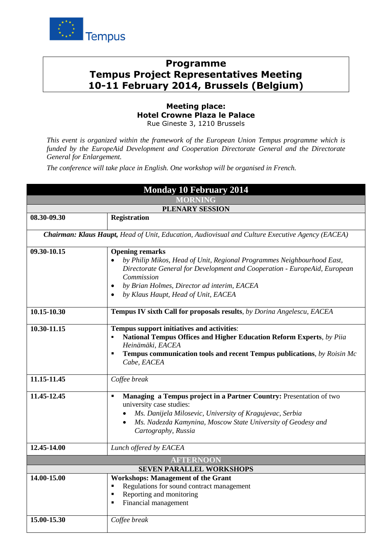

## **Programme Tempus Project Representatives Meeting 10-11 February 2014, Brussels (Belgium)**

**Meeting place: Hotel Crowne Plaza le Palace**  Rue Gineste 3, 1210 Brussels

*This event is organized within the framework of the European Union Tempus programme which is funded by the EuropeAid Development and Cooperation Directorate General and the Directorate General for Enlargement.* 

*The conference will take place in English. One workshop will be organised in French.*

| <b>Monday 10 February 2014</b><br><b>MORNING</b>                                                        |                                                                                                                                                                                                                                                                                                |  |
|---------------------------------------------------------------------------------------------------------|------------------------------------------------------------------------------------------------------------------------------------------------------------------------------------------------------------------------------------------------------------------------------------------------|--|
|                                                                                                         |                                                                                                                                                                                                                                                                                                |  |
| 08.30-09.30                                                                                             | <b>Registration</b>                                                                                                                                                                                                                                                                            |  |
| <b>Chairman: Klaus Haupt, Head of Unit, Education, Audiovisual and Culture Executive Agency (EACEA)</b> |                                                                                                                                                                                                                                                                                                |  |
| 09.30-10.15                                                                                             | <b>Opening remarks</b><br>by Philip Mikos, Head of Unit, Regional Programmes Neighbourhood East,<br>Directorate General for Development and Cooperation - EuropeAid, European<br>Commission<br>by Brian Holmes, Director ad interim, EACEA<br>by Klaus Haupt, Head of Unit, EACEA<br>$\bullet$ |  |
| 10.15-10.30                                                                                             | Tempus IV sixth Call for proposals results, by Dorina Angelescu, EACEA                                                                                                                                                                                                                         |  |
| 10.30-11.15                                                                                             | Tempus support initiatives and activities:<br>National Tempus Offices and Higher Education Reform Experts, by Piia<br>Heinämäki, EACEA<br>Tempus communication tools and recent Tempus publications, by Roisin Mc<br>Cabe, EACEA                                                               |  |
| 11.15-11.45                                                                                             | Coffee break                                                                                                                                                                                                                                                                                   |  |
| 11.45-12.45                                                                                             | Managing a Tempus project in a Partner Country: Presentation of two<br>п<br>university case studies:<br>Ms. Danijela Milosevic, University of Kragujevac, Serbia<br>Ms. Nadezda Kamynina, Moscow State University of Geodesy and<br>$\bullet$<br>Cartography, Russia                           |  |
| 12.45-14.00                                                                                             | Lunch offered by EACEA                                                                                                                                                                                                                                                                         |  |
|                                                                                                         | <b>AFTERNOON</b>                                                                                                                                                                                                                                                                               |  |
|                                                                                                         | <b>SEVEN PARALLEL WORKSHOPS</b>                                                                                                                                                                                                                                                                |  |
| 14.00-15.00                                                                                             | <b>Workshops: Management of the Grant</b><br>Regulations for sound contract management<br>Е<br>Reporting and monitoring<br>Ξ<br>Financial management                                                                                                                                           |  |
| 15.00-15.30                                                                                             | Coffee break                                                                                                                                                                                                                                                                                   |  |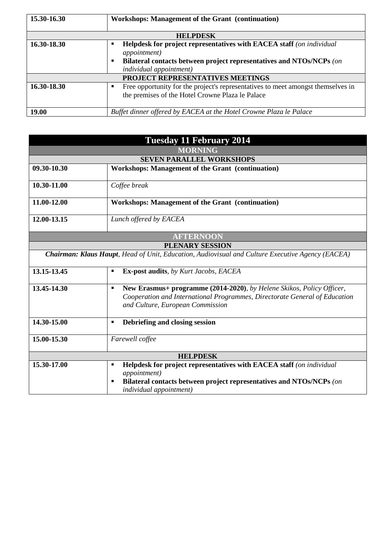| 15.30-16.30                      | <b>Workshops: Management of the Grant (continuation)</b>                                                                                                                                                    |  |
|----------------------------------|-------------------------------------------------------------------------------------------------------------------------------------------------------------------------------------------------------------|--|
| <b>HELPDESK</b>                  |                                                                                                                                                                                                             |  |
| 16.30-18.30                      | Helpdesk for project representatives with EACEA staff (on individual<br>٠<br><i>appointment</i> )<br>Bilateral contacts between project representatives and NTOs/NCPs (on<br><i>individual appointment)</i> |  |
| PROJECT REPRESENTATIVES MEETINGS |                                                                                                                                                                                                             |  |
| 16.30-18.30                      | Free opportunity for the project's representatives to meet amongst themselves in<br>the premises of the Hotel Crowne Plaza le Palace                                                                        |  |
| 19.00                            | Buffet dinner offered by EACEA at the Hotel Crowne Plaza le Palace                                                                                                                                          |  |

| <b>Tuesday 11 February 2014</b><br><b>MORNING</b>                                                       |                                                                                                                                                                                                           |  |
|---------------------------------------------------------------------------------------------------------|-----------------------------------------------------------------------------------------------------------------------------------------------------------------------------------------------------------|--|
|                                                                                                         |                                                                                                                                                                                                           |  |
| 09.30-10.30                                                                                             | Workshops: Management of the Grant (continuation)                                                                                                                                                         |  |
| 10.30-11.00                                                                                             | Coffee break                                                                                                                                                                                              |  |
| 11.00-12.00                                                                                             | <b>Workshops: Management of the Grant (continuation)</b>                                                                                                                                                  |  |
| 12.00-13.15                                                                                             | Lunch offered by EACEA                                                                                                                                                                                    |  |
| <b>AFTERNOON</b>                                                                                        |                                                                                                                                                                                                           |  |
| <b>PLENARY SESSION</b>                                                                                  |                                                                                                                                                                                                           |  |
| <b>Chairman: Klaus Haupt, Head of Unit, Education, Audiovisual and Culture Executive Agency (EACEA)</b> |                                                                                                                                                                                                           |  |
| 13.15-13.45                                                                                             | <b>Ex-post audits</b> , by Kurt Jacobs, EACEA<br>$\blacksquare$                                                                                                                                           |  |
| 13.45-14.30                                                                                             | New Erasmus+ programme (2014-2020), by Helene Skikos, Policy Officer,<br>$\blacksquare$<br>Cooperation and International Programmes, Directorate General of Education<br>and Culture, European Commission |  |
| 14.30-15.00                                                                                             | Debriefing and closing session<br>$\blacksquare$                                                                                                                                                          |  |
| 15.00-15.30                                                                                             | Farewell coffee                                                                                                                                                                                           |  |
| <b>HELPDESK</b>                                                                                         |                                                                                                                                                                                                           |  |
| 15.30-17.00                                                                                             | Helpdesk for project representatives with EACEA staff (on individual<br>$\blacksquare$                                                                                                                    |  |
|                                                                                                         | <i>appointment</i> )<br>Bilateral contacts between project representatives and NTOs/NCPs (on<br>$\blacksquare$<br>individual appointment)                                                                 |  |